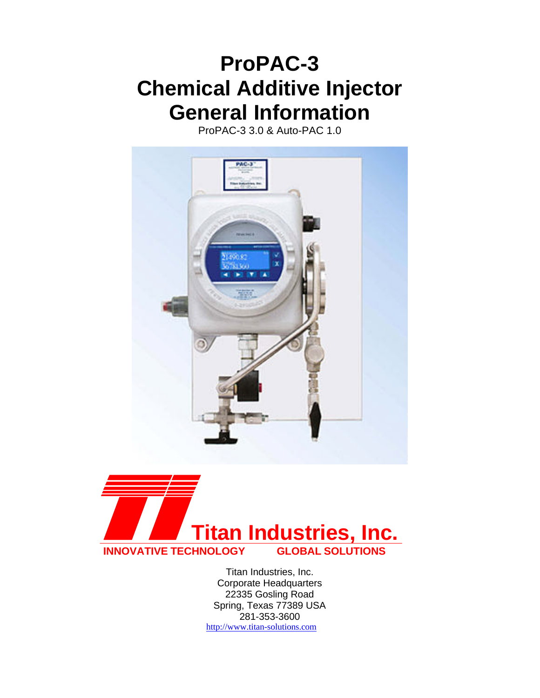# **ProPAC-3 Chemical Additive Injector General Information**

ProPAC-3 3.0 & Auto-PAC 1.0





Titan Industries, Inc. Corporate Headquarters 22335 Gosling Road Spring, Texas 77389 USA 281-353-3600 http://www.titan-solutions.com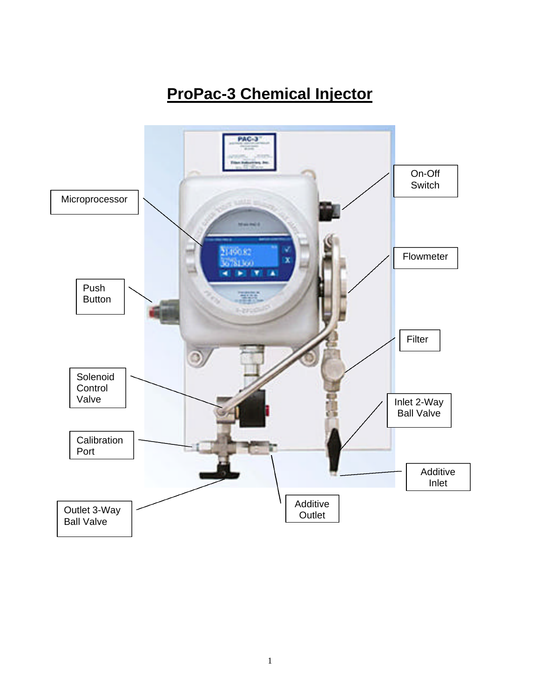## **ProPac-3 Chemical Injector**

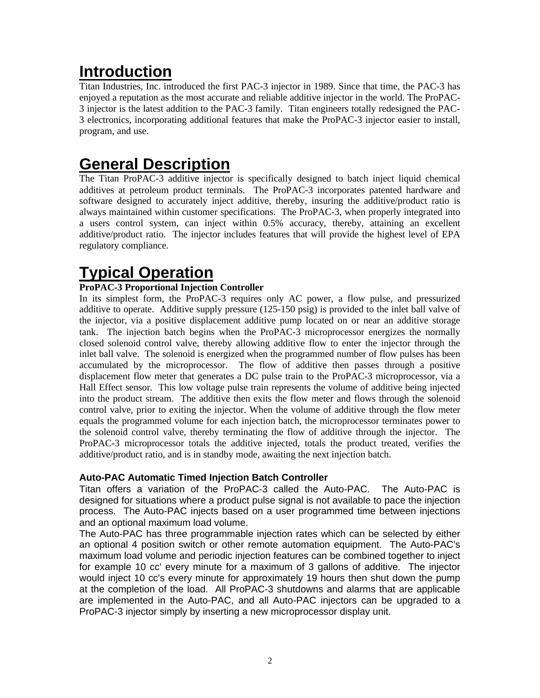### **Introduction**

Titan Industries, Inc. introduced the first PAC-3 injector in 1989. Since that time, the PAC-3 has enjoyed a reputation as the most accurate and reliable additive injector in the world. The ProPAC-3 injector is the latest addition to the PAC-3 family. Titan engineers totally redesigned the PAC-3 electronics, incorporating additional features that make the ProPAC-3 injector easier to install, program, and use.

### **General Description**

The Titan ProPAC-3 additive injector is specifically designed to batch inject liquid chemical additives at petroleum product terminals. The ProPAC-3 incorporates patented hardware and software designed to accurately inject additive, thereby, insuring the additive/product ratio is always maintained within customer specifications. The ProPAC-3, when properly integrated into a users control system, can inject within 0.5% accuracy, thereby, attaining an excellent additive/product ratio. The injector includes features that will provide the highest level of EPA regulatory compliance.

### **Typical Operation**

#### **ProPAC-3 Proportional Injection Controller**

In its simplest form, the ProPAC-3 requires only AC power, a flow pulse, and pressurized additive to operate. Additive supply pressure (125-150 psig) is provided to the inlet ball valve of the injector, via a positive displacement additive pump located on or near an additive storage tank. The injection batch begins when the ProPAC-3 microprocessor energizes the normally closed solenoid control valve, thereby allowing additive flow to enter the injector through the inlet ball valve. The solenoid is energized when the programmed number of flow pulses has been accumulated by the microprocessor. The flow of additive then passes through a positive displacement flow meter that generates a DC pulse train to the ProPAC-3 microprocessor, via a Hall Effect sensor. This low voltage pulse train represents the volume of additive being injected into the product stream. The additive then exits the flow meter and flows through the solenoid control valve, prior to exiting the injector. When the volume of additive through the flow meter equals the programmed volume for each injection batch, the microprocessor terminates power to the solenoid control valve, thereby terminating the flow of additive through the injector. The ProPAC-3 microprocessor totals the additive injected, totals the product treated, verifies the additive/product ratio, and is in standby mode, awaiting the next injection batch.

#### **Auto-PAC Automatic Timed Injection Batch Controller**

Titan offers a variation of the ProPAC-3 called the Auto-PAC. The Auto-PAC is designed for situations where a product pulse signal is not available to pace the injection process. The Auto-PAC injects based on a user programmed time between injections and an optional maximum load volume.

The Auto-PAC has three programmable injection rates which can be selected by either an optional 4 position switch or other remote automation equipment. The Auto-PAC's maximum load volume and periodic injection features can be combined together to inject for example 10 cc' every minute for a maximum of 3 gallons of additive. The injector would inject 10 cc's every minute for approximately 19 hours then shut down the pump at the completion of the load. All ProPAC-3 shutdowns and alarms that are applicable are implemented in the Auto-PAC, and all Auto-PAC injectors can be upgraded to a ProPAC-3 injector simply by inserting a new microprocessor display unit.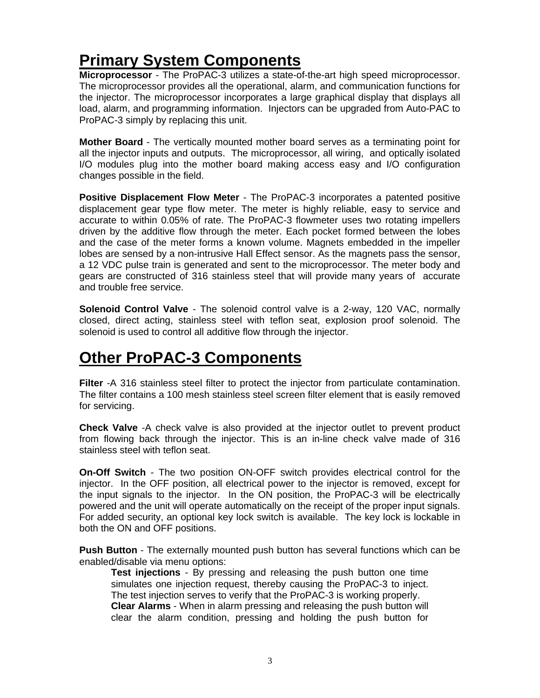## **Primary System Components**

**Microprocessor** - The ProPAC-3 utilizes a state-of-the-art high speed microprocessor. The microprocessor provides all the operational, alarm, and communication functions for the injector. The microprocessor incorporates a large graphical display that displays all load, alarm, and programming information. Injectors can be upgraded from Auto-PAC to ProPAC-3 simply by replacing this unit.

**Mother Board** - The vertically mounted mother board serves as a terminating point for all the injector inputs and outputs. The microprocessor, all wiring, and optically isolated I/O modules plug into the mother board making access easy and I/O configuration changes possible in the field.

**Positive Displacement Flow Meter** - The ProPAC-3 incorporates a patented positive displacement gear type flow meter. The meter is highly reliable, easy to service and accurate to within 0.05% of rate. The ProPAC-3 flowmeter uses two rotating impellers driven by the additive flow through the meter. Each pocket formed between the lobes and the case of the meter forms a known volume. Magnets embedded in the impeller lobes are sensed by a non-intrusive Hall Effect sensor. As the magnets pass the sensor, a 12 VDC pulse train is generated and sent to the microprocessor. The meter body and gears are constructed of 316 stainless steel that will provide many years of accurate and trouble free service.

**Solenoid Control Valve** - The solenoid control valve is a 2-way, 120 VAC, normally closed, direct acting, stainless steel with teflon seat, explosion proof solenoid. The solenoid is used to control all additive flow through the injector.

### **Other ProPAC-3 Components**

**Filter** -A 316 stainless steel filter to protect the injector from particulate contamination. The filter contains a 100 mesh stainless steel screen filter element that is easily removed for servicing.

**Check Valve** -A check valve is also provided at the injector outlet to prevent product from flowing back through the injector. This is an in-line check valve made of 316 stainless steel with teflon seat.

**On-Off Switch** - The two position ON-OFF switch provides electrical control for the injector. In the OFF position, all electrical power to the injector is removed, except for the input signals to the injector. In the ON position, the ProPAC-3 will be electrically powered and the unit will operate automatically on the receipt of the proper input signals. For added security, an optional key lock switch is available. The key lock is lockable in both the ON and OFF positions.

**Push Button** - The externally mounted push button has several functions which can be enabled/disable via menu options:

**Test injections** - By pressing and releasing the push button one time simulates one injection request, thereby causing the ProPAC-3 to inject. The test injection serves to verify that the ProPAC-3 is working properly. **Clear Alarms** - When in alarm pressing and releasing the push button will clear the alarm condition, pressing and holding the push button for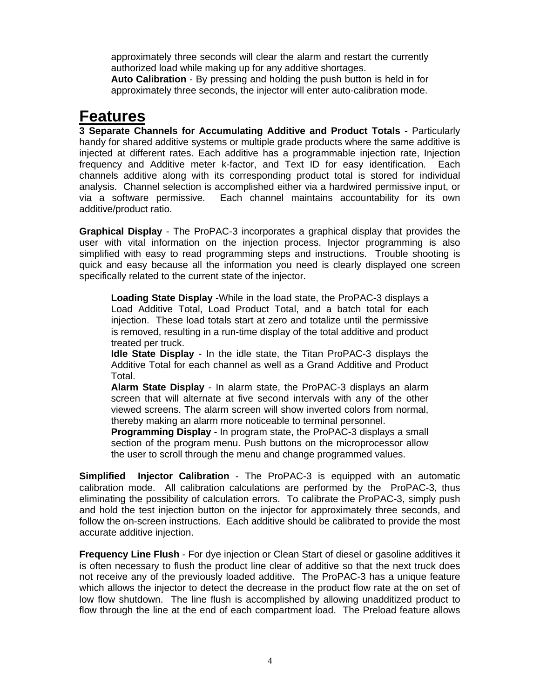approximately three seconds will clear the alarm and restart the currently authorized load while making up for any additive shortages.

**Auto Calibration** - By pressing and holding the push button is held in for approximately three seconds, the injector will enter auto-calibration mode.

### **Features**

**3 Separate Channels for Accumulating Additive and Product Totals -** Particularly handy for shared additive systems or multiple grade products where the same additive is injected at different rates. Each additive has a programmable injection rate, Injection frequency and Additive meter k-factor, and Text ID for easy identification. Each channels additive along with its corresponding product total is stored for individual analysis. Channel selection is accomplished either via a hardwired permissive input, or via a software permissive. Each channel maintains accountability for its own additive/product ratio.

**Graphical Display** - The ProPAC-3 incorporates a graphical display that provides the user with vital information on the injection process. Injector programming is also simplified with easy to read programming steps and instructions. Trouble shooting is quick and easy because all the information you need is clearly displayed one screen specifically related to the current state of the injector.

**Loading State Display** -While in the load state, the ProPAC-3 displays a Load Additive Total, Load Product Total, and a batch total for each injection. These load totals start at zero and totalize until the permissive is removed, resulting in a run-time display of the total additive and product treated per truck.

**Idle State Display** - In the idle state, the Titan ProPAC-3 displays the Additive Total for each channel as well as a Grand Additive and Product Total.

**Alarm State Display** - In alarm state, the ProPAC-3 displays an alarm screen that will alternate at five second intervals with any of the other viewed screens. The alarm screen will show inverted colors from normal, thereby making an alarm more noticeable to terminal personnel.

**Programming Display** - In program state, the ProPAC-3 displays a small section of the program menu. Push buttons on the microprocessor allow the user to scroll through the menu and change programmed values.

**Simplified Injector Calibration** - The ProPAC-3 is equipped with an automatic calibration mode. All calibration calculations are performed by the ProPAC-3, thus eliminating the possibility of calculation errors. To calibrate the ProPAC-3, simply push and hold the test injection button on the injector for approximately three seconds, and follow the on-screen instructions. Each additive should be calibrated to provide the most accurate additive injection.

**Frequency Line Flush** - For dye injection or Clean Start of diesel or gasoline additives it is often necessary to flush the product line clear of additive so that the next truck does not receive any of the previously loaded additive. The ProPAC-3 has a unique feature which allows the injector to detect the decrease in the product flow rate at the on set of low flow shutdown. The line flush is accomplished by allowing unadditized product to flow through the line at the end of each compartment load. The Preload feature allows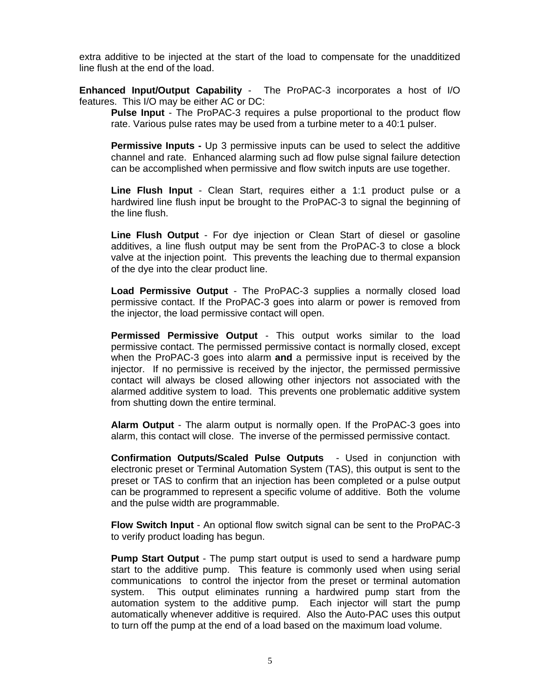extra additive to be injected at the start of the load to compensate for the unadditized line flush at the end of the load.

**Enhanced Input/Output Capability** - The ProPAC-3 incorporates a host of I/O features. This I/O may be either AC or DC:

**Pulse Input** - The ProPAC-3 requires a pulse proportional to the product flow rate. Various pulse rates may be used from a turbine meter to a 40:1 pulser.

**Permissive Inputs -** Up 3 permissive inputs can be used to select the additive channel and rate. Enhanced alarming such ad flow pulse signal failure detection can be accomplished when permissive and flow switch inputs are use together.

**Line Flush Input** - Clean Start, requires either a 1:1 product pulse or a hardwired line flush input be brought to the ProPAC-3 to signal the beginning of the line flush.

**Line Flush Output** - For dye injection or Clean Start of diesel or gasoline additives, a line flush output may be sent from the ProPAC-3 to close a block valve at the injection point. This prevents the leaching due to thermal expansion of the dye into the clear product line.

**Load Permissive Output** - The ProPAC-3 supplies a normally closed load permissive contact. If the ProPAC-3 goes into alarm or power is removed from the injector, the load permissive contact will open.

**Permissed Permissive Output** - This output works similar to the load permissive contact. The permissed permissive contact is normally closed, except when the ProPAC-3 goes into alarm **and** a permissive input is received by the injector. If no permissive is received by the injector, the permissed permissive contact will always be closed allowing other injectors not associated with the alarmed additive system to load. This prevents one problematic additive system from shutting down the entire terminal.

**Alarm Output** - The alarm output is normally open. If the ProPAC-3 goes into alarm, this contact will close. The inverse of the permissed permissive contact.

**Confirmation Outputs/Scaled Pulse Outputs** - Used in conjunction with electronic preset or Terminal Automation System (TAS), this output is sent to the preset or TAS to confirm that an injection has been completed or a pulse output can be programmed to represent a specific volume of additive. Both the volume and the pulse width are programmable.

**Flow Switch Input** - An optional flow switch signal can be sent to the ProPAC-3 to verify product loading has begun.

**Pump Start Output** - The pump start output is used to send a hardware pump start to the additive pump. This feature is commonly used when using serial communications to control the injector from the preset or terminal automation system. This output eliminates running a hardwired pump start from the automation system to the additive pump. Each injector will start the pump automatically whenever additive is required. Also the Auto-PAC uses this output to turn off the pump at the end of a load based on the maximum load volume.